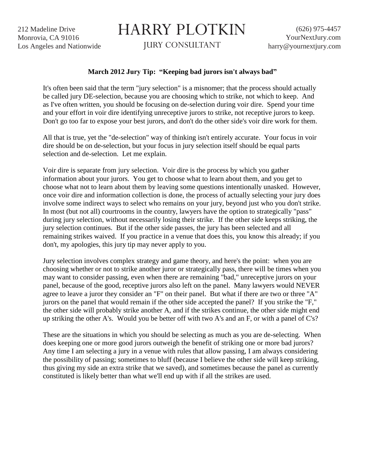212 Madeline Drive Monrovia, CA 91016 Los Angeles and Nationwide

## HARRY PLOTKIN

JURY CONSULTANT

## **March 2012 Jury Tip: "Keeping bad jurors isn't always bad"**

It's often been said that the term "jury selection" is a misnomer; that the process should actually be called jury DE-selection, because you are choosing which to strike, not which to keep. And as I've often written, you should be focusing on de-selection during voir dire. Spend your time and your effort in voir dire identifying unreceptive jurors to strike, not receptive jurors to keep. Don't go too far to expose your best jurors, and don't do the other side's voir dire work for them.

All that is true, yet the "de-selection" way of thinking isn't entirely accurate. Your focus in voir dire should be on de-selection, but your focus in jury selection itself should be equal parts selection and de-selection. Let me explain.

Voir dire is separate from jury selection. Voir dire is the process by which you gather information about your jurors. You get to choose what to learn about them, and you get to choose what not to learn about them by leaving some questions intentionally unasked. However, once voir dire and information collection is done, the process of actually selecting your jury does involve some indirect ways to select who remains on your jury, beyond just who you don't strike. In most (but not all) courtrooms in the country, lawyers have the option to strategically "pass" during jury selection, without necessarily losing their strike. If the other side keeps striking, the jury selection continues. But if the other side passes, the jury has been selected and all remaining strikes waived. If you practice in a venue that does this, you know this already; if you don't, my apologies, this jury tip may never apply to you.

Jury selection involves complex strategy and game theory, and here's the point: when you are choosing whether or not to strike another juror or strategically pass, there will be times when you may want to consider passing, even when there are remaining "bad," unreceptive jurors on your panel, because of the good, receptive jurors also left on the panel. Many lawyers would NEVER agree to leave a juror they consider an "F" on their panel. But what if there are two or three "A" jurors on the panel that would remain if the other side accepted the panel? If you strike the "F," the other side will probably strike another A, and if the strikes continue, the other side might end up striking the other A's. Would you be better off with two A's and an F, or with a panel of C's?

These are the situations in which you should be selecting as much as you are de-selecting. When does keeping one or more good jurors outweigh the benefit of striking one or more bad jurors? Any time I am selecting a jury in a venue with rules that allow passing, I am always considering the possibility of passing; sometimes to bluff (because I believe the other side will keep striking, thus giving my side an extra strike that we saved), and sometimes because the panel as currently constituted is likely better than what we'll end up with if all the strikes are used.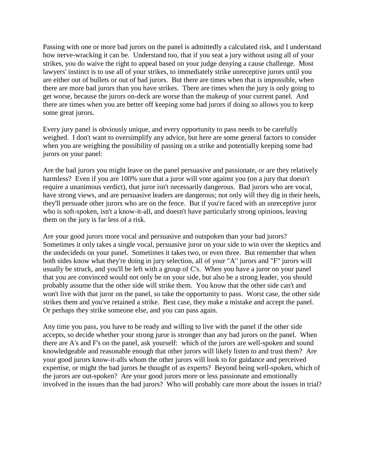Passing with one or more bad jurors on the panel is admittedly a calculated risk, and I understand how nerve-wracking it can be. Understand too, that if you seat a jury without using all of your strikes, you do waive the right to appeal based on your judge denying a cause challenge. Most lawyers' instinct is to use all of your strikes, to immediately strike unreceptive jurors until you are either out of bullets or out of bad jurors. But there are times when that is impossible, when there are more bad jurors than you have strikes. There are times when the jury is only going to get worse, because the jurors on-deck are worse than the makeup of your current panel. And there are times when you are better off keeping some bad jurors if doing so allows you to keep some great jurors.

Every jury panel is obviously unique, and every opportunity to pass needs to be carefully weighed. I don't want to oversimplify any advice, but here are some general factors to consider when you are weighing the possibility of passing on a strike and potentially keeping some bad jurors on your panel:

Are the bad jurors you might leave on the panel persuasive and passionate, or are they relatively harmless? Even if you are 100% sure that a juror will vote against you (on a jury that doesn't require a unanimous verdict), that juror isn't necessarily dangerous. Bad jurors who are vocal, have strong views, and are persuasive leaders are dangerous; not only will they dig in their heels, they'll persuade other jurors who are on the fence. But if you're faced with an unreceptive juror who is soft-spoken, isn't a know-it-all, and doesn't have particularly strong opinions, leaving them on the jury is far less of a risk.

Are your good jurors more vocal and persuasive and outspoken than your bad jurors? Sometimes it only takes a single vocal, persuasive juror on your side to win over the skeptics and the undecideds on your panel. Sometimes it takes two, or even three. But remember that when both sides know what they're doing in jury selection, all of your "A" jurors and "F" jurors will usually be struck, and you'll be left with a group of C's. When you have a juror on your panel that you are convinced would not only be on your side, but also be a strong leader, you should probably assume that the other side will strike them. You know that the other side can't and won't live with that juror on the panel, so take the opportunity to pass. Worst case, the other side strikes them and you've retained a strike. Best case, they make a mistake and accept the panel. Or perhaps they strike someone else, and you can pass again.

Any time you pass, you have to be ready and willing to live with the panel if the other side accepts, so decide whether your strong juror is stronger than any bad jurors on the panel. When there are A's and F's on the panel, ask yourself: which of the jurors are well-spoken and sound knowledgeable and reasonable enough that other jurors will likely listen to and trust them? Are your good jurors know-it-alls whom the other jurors will look to for guidance and perceived expertise, or might the bad jurors be thought of as experts? Beyond being well-spoken, which of the jurors are out-spoken? Are your good jurors more or less passionate and emotionally involved in the issues than the bad jurors? Who will probably care more about the issues in trial?